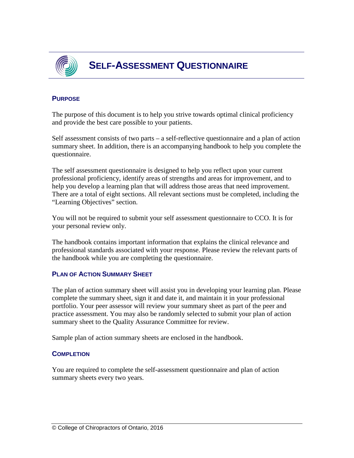

## **PURPOSE**

The purpose of this document is to help you strive towards optimal clinical proficiency and provide the best care possible to your patients.

Self assessment consists of two parts – a self-reflective questionnaire and a plan of action summary sheet. In addition, there is an accompanying handbook to help you complete the questionnaire.

The self assessment questionnaire is designed to help you reflect upon your current professional proficiency, identify areas of strengths and areas for improvement, and to help you develop a learning plan that will address those areas that need improvement. There are a total of eight sections. All relevant sections must be completed, including the "Learning Objectives" section.

You will not be required to submit your self assessment questionnaire to CCO. It is for your personal review only.

The handbook contains important information that explains the clinical relevance and professional standards associated with your response. Please review the relevant parts of the handbook while you are completing the questionnaire.

## **PLAN OF ACTION SUMMARY SHEET**

The plan of action summary sheet will assist you in developing your learning plan. Please complete the summary sheet, sign it and date it, and maintain it in your professional portfolio. Your peer assessor will review your summary sheet as part of the peer and practice assessment. You may also be randomly selected to submit your plan of action summary sheet to the Quality Assurance Committee for review.

Sample plan of action summary sheets are enclosed in the handbook.

## **COMPLETION**

You are required to complete the self-assessment questionnaire and plan of action summary sheets every two years.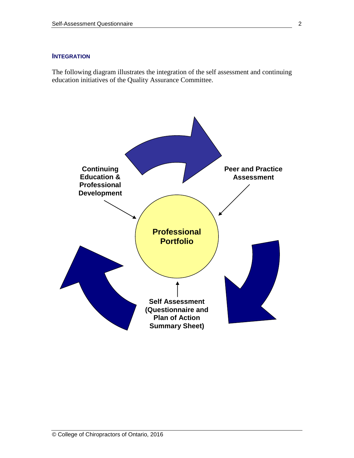#### **INTEGRATION**

The following diagram illustrates the integration of the self assessment and continuing education initiatives of the Quality Assurance Committee.

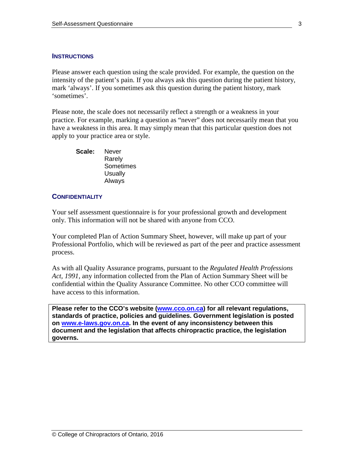#### **INSTRUCTIONS**

Please answer each question using the scale provided. For example, the question on the intensity of the patient's pain. If you always ask this question during the patient history, mark 'always'. If you sometimes ask this question during the patient history, mark 'sometimes'.

Please note, the scale does not necessarily reflect a strength or a weakness in your practice. For example, marking a question as "never" does not necessarily mean that you have a weakness in this area. It may simply mean that this particular question does not apply to your practice area or style.

**Scale:** Never Rarely **Sometimes Usually** Always

#### **CONFIDENTIALITY**

Your self assessment questionnaire is for your professional growth and development only. This information will not be shared with anyone from CCO.

Your completed Plan of Action Summary Sheet, however, will make up part of your Professional Portfolio, which will be reviewed as part of the peer and practice assessment process.

As with all Quality Assurance programs, pursuant to the *Regulated Health Professions Act, 1991,* any information collected from the Plan of Action Summary Sheet will be confidential within the Quality Assurance Committee. No other CCO committee will have access to this information.

**Please refer to the CCO's website [\(www.cco.on.ca\)](http://www.cco.on.ca/) for all relevant regulations, standards of practice, policies and guidelines. Government legislation is posted on [www.e-laws.gov.on.ca.](http://www.e-laws.gov.on.ca/) In the event of any inconsistency between this document and the legislation that affects chiropractic practice, the legislation governs.**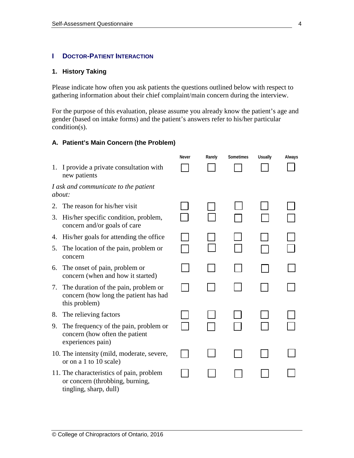#### **I DOCTOR-PATIENT INTERACTION**

#### **1. History Taking**

Please indicate how often you ask patients the questions outlined below with respect to gathering information about their chief complaint/main concern during the interview.

For the purpose of this evaluation, please assume you already know the patient's age and gender (based on intake forms) and the patient's answers refer to his/her particular condition(s).

#### **A. Patient's Main Concern (the Problem)**

|    |                                                                                                       | <b>Never</b> | Rarely | Sometimes | <b>Usually</b> | Always |
|----|-------------------------------------------------------------------------------------------------------|--------------|--------|-----------|----------------|--------|
|    | 1. I provide a private consultation with<br>new patients                                              |              |        |           |                |        |
|    | I ask and communicate to the patient<br><i>about:</i>                                                 |              |        |           |                |        |
| 2. | The reason for his/her visit                                                                          |              |        |           |                |        |
|    | 3. His/her specific condition, problem,<br>concern and/or goals of care                               |              |        |           |                |        |
| 4. | His/her goals for attending the office                                                                |              |        |           |                |        |
| 5. | The location of the pain, problem or<br>concern                                                       |              |        |           |                |        |
| 6. | The onset of pain, problem or<br>concern (when and how it started)                                    |              |        |           |                |        |
|    | 7. The duration of the pain, problem or<br>concern (how long the patient has had<br>this problem)     |              |        |           |                |        |
| 8. | The relieving factors                                                                                 |              |        |           |                |        |
| 9. | The frequency of the pain, problem or<br>concern (how often the patient<br>experiences pain)          |              |        |           |                |        |
|    | 10. The intensity (mild, moderate, severe,<br>or on a 1 to 10 scale)                                  |              |        |           |                |        |
|    | 11. The characteristics of pain, problem<br>or concern (throbbing, burning,<br>tingling, sharp, dull) |              |        |           |                |        |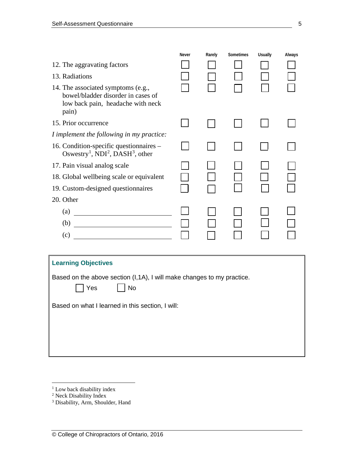|                                                                                                                        | <b>Never</b> | Rarely | Sometimes | <b>Usually</b> | Always |  |
|------------------------------------------------------------------------------------------------------------------------|--------------|--------|-----------|----------------|--------|--|
| 12. The aggravating factors                                                                                            |              |        |           |                |        |  |
| 13. Radiations                                                                                                         |              |        |           |                |        |  |
| 14. The associated symptoms (e.g.,<br>bowel/bladder disorder in cases of<br>low back pain, headache with neck<br>pain) |              |        |           |                |        |  |
| 15. Prior occurrence                                                                                                   |              |        |           |                |        |  |
| I implement the following in my practice:                                                                              |              |        |           |                |        |  |
| 16. Condition-specific questionnaires -<br>Oswestry <sup>1</sup> , NDI <sup>2</sup> , DASH <sup>3</sup> , other        |              |        |           |                |        |  |
| 17. Pain visual analog scale                                                                                           |              |        |           |                |        |  |
| 18. Global wellbeing scale or equivalent                                                                               |              |        |           |                |        |  |
| 19. Custom-designed questionnaires                                                                                     |              |        |           |                |        |  |
| 20. Other                                                                                                              |              |        |           |                |        |  |
| $\qquad \qquad \textbf{(a)} \qquad \qquad$                                                                             |              |        |           |                |        |  |
| $\left( b\right)$                                                                                                      |              |        |           |                |        |  |
|                                                                                                                        |              |        |           |                |        |  |
|                                                                                                                        |              |        |           |                |        |  |
| <b>Learning Objectives</b>                                                                                             |              |        |           |                |        |  |
| Based on the above section (I,1A), I will make changes to my practice.<br><b>No</b><br>Yes                             |              |        |           |                |        |  |
| Based on what I learned in this section, I will:                                                                       |              |        |           |                |        |  |
|                                                                                                                        |              |        |           |                |        |  |
|                                                                                                                        |              |        |           |                |        |  |
|                                                                                                                        |              |        |           |                |        |  |
|                                                                                                                        |              |        |           |                |        |  |

<span id="page-4-0"></span><sup>&</sup>lt;sup>1</sup> Low back disability index

<span id="page-4-1"></span><sup>&</sup>lt;sup>2</sup> Neck Disability Index

<span id="page-4-2"></span><sup>&</sup>lt;sup>3</sup> Disability, Arm, Shoulder, Hand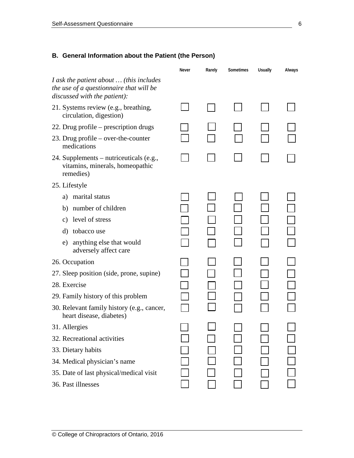# **B. General Information about the Patient (the Person)**

|                                                                                                                    | Never | Rarely | Sometimes | <b>Usually</b> | Always |
|--------------------------------------------------------------------------------------------------------------------|-------|--------|-----------|----------------|--------|
| I ask the patient about  (this includes<br>the use of a questionnaire that will be<br>discussed with the patient): |       |        |           |                |        |
| 21. Systems review (e.g., breathing,<br>circulation, digestion)                                                    |       |        |           |                |        |
| 22. Drug profile – prescription drugs                                                                              |       |        |           |                |        |
| 23. Drug profile $-$ over-the-counter<br>medications                                                               |       |        |           |                |        |
| 24. Supplements – nutriceuticals (e.g.,<br>vitamins, minerals, homeopathic<br>remedies)                            |       |        |           |                |        |
| 25. Lifestyle                                                                                                      |       |        |           |                |        |
| marital status<br>a)                                                                                               |       |        |           |                |        |
| b) number of children                                                                                              |       |        |           |                |        |
| c) level of stress                                                                                                 |       |        |           |                |        |
| tobacco use<br>d)                                                                                                  |       |        |           |                |        |
| anything else that would<br>e)<br>adversely affect care                                                            |       |        |           |                |        |
| 26. Occupation                                                                                                     |       |        |           |                |        |
| 27. Sleep position (side, prone, supine)                                                                           |       |        |           |                |        |
| 28. Exercise                                                                                                       |       |        |           |                |        |
| 29. Family history of this problem                                                                                 |       |        |           |                |        |
| 30. Relevant family history (e.g., cancer,<br>heart disease, diabetes)                                             |       |        |           |                |        |
| 31. Allergies                                                                                                      |       |        |           |                |        |
| 32. Recreational activities                                                                                        |       |        |           |                |        |
| 33. Dietary habits                                                                                                 |       |        |           |                |        |
| 34. Medical physician's name                                                                                       |       |        |           |                |        |
| 35. Date of last physical/medical visit                                                                            |       |        |           |                |        |
| 36. Past illnesses                                                                                                 |       |        |           |                |        |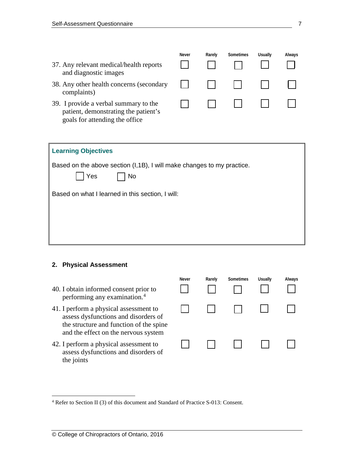|                                                                                                                 | Never | Rarely | Sometimes | Usually | Always |
|-----------------------------------------------------------------------------------------------------------------|-------|--------|-----------|---------|--------|
| 37. Any relevant medical/health reports<br>and diagnostic images                                                |       |        |           |         |        |
| 38. Any other health concerns (secondary<br>complaints)                                                         |       |        |           |         |        |
| 39. I provide a verbal summary to the<br>patient, demonstrating the patient's<br>goals for attending the office |       |        |           |         |        |

| <b>Learning Objectives</b>                                                          |  |  |  |  |
|-------------------------------------------------------------------------------------|--|--|--|--|
| Based on the above section (I,1B), I will make changes to my practice.<br>Yes<br>No |  |  |  |  |
| Based on what I learned in this section, I will:                                    |  |  |  |  |
|                                                                                     |  |  |  |  |
|                                                                                     |  |  |  |  |
|                                                                                     |  |  |  |  |

## **2. Physical Assessment**

|                                                                                                                                                                   | Never | Rarely | Sometimes | <b>Usually</b> | Always |
|-------------------------------------------------------------------------------------------------------------------------------------------------------------------|-------|--------|-----------|----------------|--------|
| 40. I obtain informed consent prior to<br>performing any examination. <sup>4</sup>                                                                                |       |        |           |                |        |
| 41. I perform a physical assessment to<br>assess dysfunctions and disorders of<br>the structure and function of the spine<br>and the effect on the nervous system |       |        |           |                |        |
| 42. I perform a physical assessment to<br>assess dysfunctions and disorders of<br>the joints                                                                      |       |        |           |                |        |

<span id="page-6-0"></span> <sup>4</sup> Refer to Section II (3) of this document and Standard of Practice S-013: Consent.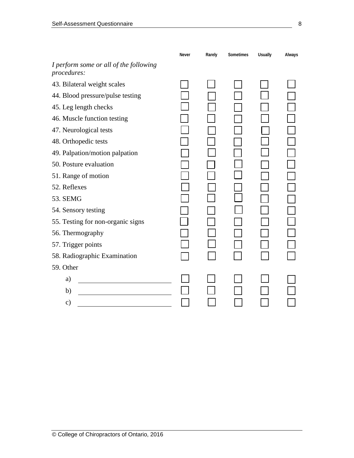|                                                       | Never | Rarely | Sometimes | <b>Usually</b> | Always |
|-------------------------------------------------------|-------|--------|-----------|----------------|--------|
| I perform some or all of the following<br>procedures: |       |        |           |                |        |
| 43. Bilateral weight scales                           |       |        |           |                |        |
| 44. Blood pressure/pulse testing                      |       |        |           |                |        |
| 45. Leg length checks                                 |       |        |           |                |        |
| 46. Muscle function testing                           |       |        |           |                |        |
| 47. Neurological tests                                |       |        |           |                |        |
| 48. Orthopedic tests                                  |       |        |           |                |        |
| 49. Palpation/motion palpation                        |       |        |           |                |        |
| 50. Posture evaluation                                |       |        |           |                |        |
| 51. Range of motion                                   |       |        |           |                |        |
| 52. Reflexes                                          |       |        |           |                |        |
| 53. SEMG                                              |       |        |           |                |        |
| 54. Sensory testing                                   |       |        |           |                |        |
| 55. Testing for non-organic signs                     |       |        |           |                |        |
| 56. Thermography                                      |       |        |           |                |        |
| 57. Trigger points                                    |       |        |           |                |        |
| 58. Radiographic Examination                          |       |        |           |                |        |
| 59. Other                                             |       |        |           |                |        |
| a)                                                    |       |        |           |                |        |
| b)                                                    |       |        |           |                |        |
| $\mathbf{c})$                                         |       |        |           |                |        |
|                                                       |       |        |           |                |        |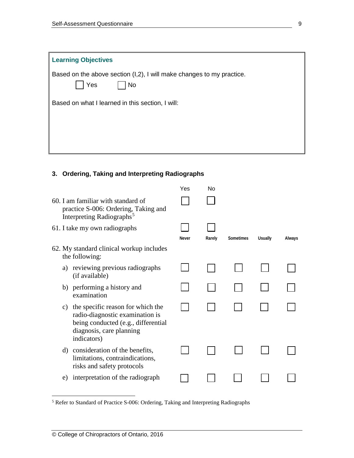| <b>Learning Objectives</b>                                                                |
|-------------------------------------------------------------------------------------------|
| Based on the above section (I,2), I will make changes to my practice.<br>Yes<br><b>No</b> |
| Based on what I learned in this section, I will:                                          |
|                                                                                           |
|                                                                                           |
|                                                                                           |

# **3. Ordering, Taking and Interpreting Radiographs**

|    |                                                                                                                                                        | Yes          | No     |           |                |        |
|----|--------------------------------------------------------------------------------------------------------------------------------------------------------|--------------|--------|-----------|----------------|--------|
|    | 60. I am familiar with standard of<br>practice S-006: Ordering, Taking and<br>Interpreting Radiographs <sup>5</sup>                                    |              |        |           |                |        |
|    | 61. I take my own radiographs                                                                                                                          |              |        |           |                |        |
|    |                                                                                                                                                        | <b>Never</b> | Rarely | Sometimes | <b>Usually</b> | Always |
|    | 62. My standard clinical workup includes<br>the following:                                                                                             |              |        |           |                |        |
| a) | reviewing previous radiographs<br>(if available)                                                                                                       |              |        |           |                |        |
|    | b) performing a history and<br>examination                                                                                                             |              |        |           |                |        |
| C) | the specific reason for which the<br>radio-diagnostic examination is<br>being conducted (e.g., differential<br>diagnosis, care planning<br>indicators) |              |        |           |                |        |
| d) | consideration of the benefits,<br>limitations, contraindications,<br>risks and safety protocols                                                        |              |        |           |                |        |
| e) | interpretation of the radiograph                                                                                                                       |              |        |           |                |        |
|    |                                                                                                                                                        |              |        |           |                |        |

<span id="page-8-0"></span> <sup>5</sup> Refer to Standard of Practice S-006: Ordering, Taking and Interpreting Radiographs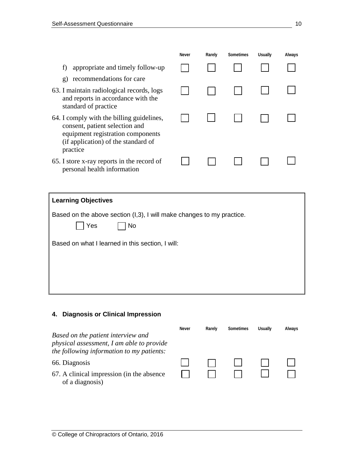|                                                                                                                                                                     | <b>Never</b> | Rarely | <b>Sometimes</b> | <b>Usually</b> | Always |
|---------------------------------------------------------------------------------------------------------------------------------------------------------------------|--------------|--------|------------------|----------------|--------|
| appropriate and timely follow-up<br>f                                                                                                                               |              |        |                  |                |        |
| recommendations for care<br>$\mathbf{g}$                                                                                                                            |              |        |                  |                |        |
| 63. I maintain radiological records, logs<br>and reports in accordance with the<br>standard of practice                                                             |              |        |                  |                |        |
| 64. I comply with the billing guidelines,<br>consent, patient selection and<br>equipment registration components<br>(if application) of the standard of<br>practice |              |        |                  |                |        |
| 65. I store x-ray reports in the record of<br>personal health information                                                                                           |              |        |                  |                |        |

| <b>Learning Objectives</b>                                                         |
|------------------------------------------------------------------------------------|
| Based on the above section (I,3), I will make changes to my practice.<br>Yes<br>No |
| Based on what I learned in this section, I will:                                   |
|                                                                                    |
|                                                                                    |
|                                                                                    |

## **4. Diagnosis or Clinical Impression**

**Never Rarely Sometimes Usually Always** *Based on the patient interview and physical assessment, I am able to provide the following information to my patients:*  $\Box$ 66. Diagnosis  $\Box$  $\begin{matrix} 1 \\ 0 \\ 1 \end{matrix}$ 67. A clinical impression (in the absence of a diagnosis)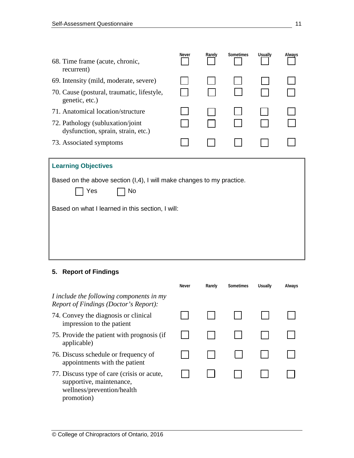| 68. Time frame (acute, chronic,<br>recurrent)                                      | Never | Rarely | Sometimes | <b>Usually</b> | Always |
|------------------------------------------------------------------------------------|-------|--------|-----------|----------------|--------|
| 69. Intensity (mild, moderate, severe)                                             |       |        |           |                |        |
| 70. Cause (postural, traumatic, lifestyle,<br>genetic, etc.)                       |       |        |           |                |        |
| 71. Anatomical location/structure                                                  |       |        |           |                |        |
| 72. Pathology (subluxation/joint)<br>dysfunction, sprain, strain, etc.)            |       |        |           |                |        |
| 73. Associated symptoms                                                            |       |        |           |                |        |
| <b>Learning Objectives</b>                                                         |       |        |           |                |        |
| Based on the above section (I,4), I will make changes to my practice.<br>Yes<br>No |       |        |           |                |        |
| Based on what I learned in this section, I will:                                   |       |        |           |                |        |
|                                                                                    |       |        |           |                |        |

# **5. Report of Findings**

|                                                                                                                    | Never | Rarely | <b>Sometimes</b> | <b>Usually</b> | Always |
|--------------------------------------------------------------------------------------------------------------------|-------|--------|------------------|----------------|--------|
| I include the following components in my<br>Report of Findings (Doctor's Report):                                  |       |        |                  |                |        |
| 74. Convey the diagnosis or clinical<br>impression to the patient                                                  |       |        |                  |                |        |
| 75. Provide the patient with prognosis (if<br>applicable)                                                          |       |        |                  |                |        |
| 76. Discuss schedule or frequency of<br>appointments with the patient                                              |       |        |                  |                |        |
| 77. Discuss type of care (crisis or acute,<br>supportive, maintenance,<br>wellness/prevention/health<br>promotion) |       |        |                  |                |        |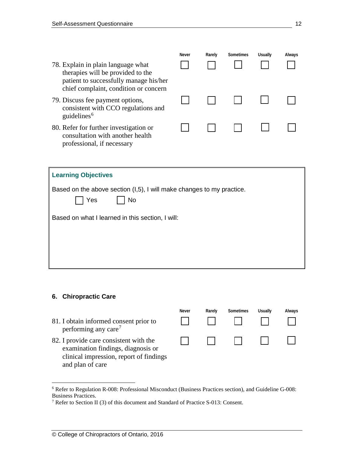|                                                                                                                                                            | Never | Rarely | Sometimes | <b>Usually</b> | Always |
|------------------------------------------------------------------------------------------------------------------------------------------------------------|-------|--------|-----------|----------------|--------|
| 78. Explain in plain language what<br>therapies will be provided to the<br>patient to successfully manage his/her<br>chief complaint, condition or concern |       |        |           |                |        |
| 79. Discuss fee payment options,<br>consistent with CCO regulations and<br>guidelines <sup>6</sup>                                                         |       |        |           |                |        |
| 80. Refer for further investigation or<br>consultation with another health<br>professional, if necessary                                                   |       |        |           |                |        |

| <b>Learning Objectives</b>                                                         |
|------------------------------------------------------------------------------------|
| Based on the above section (I,5), I will make changes to my practice.<br>Yes<br>No |
| Based on what I learned in this section, I will:                                   |
|                                                                                    |
|                                                                                    |

#### **6. Chiropractic Care**

 $\Box$ 81. I obtain informed consent prior to performing any care<sup>[7](#page-11-1)</sup> 82. I provide care consistent with the ┓  $\Box$ examination findings, diagnosis or clinical impression, report of findings and plan of care

**Never Rarely Sometimes Usually Always**

<span id="page-11-0"></span> <sup>6</sup> Refer to Regulation R-008: Professional Misconduct (Business Practices section), and Guideline G-008: Business Practices.

<span id="page-11-1"></span><sup>7</sup> Refer to Section II (3) of this document and Standard of Practice S-013: Consent.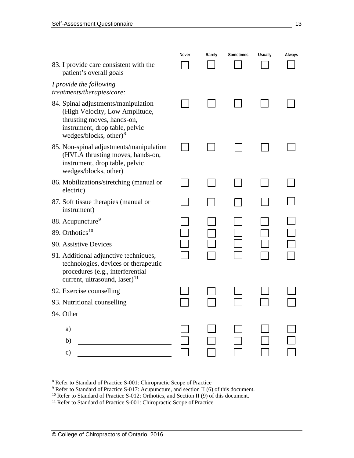| 83. I provide care consistent with the<br>patient's overall goals                                                                                                  | Never | Rarely | Sometimes | <b>Usually</b> | Always |
|--------------------------------------------------------------------------------------------------------------------------------------------------------------------|-------|--------|-----------|----------------|--------|
| I provide the following<br>treatments/therapies/care:                                                                                                              |       |        |           |                |        |
| 84. Spinal adjustments/manipulation<br>(High Velocity, Low Amplitude,<br>thrusting moves, hands-on,<br>instrument, drop table, pelvic<br>wedges/blocks, other) $8$ |       |        |           |                |        |
| 85. Non-spinal adjustments/manipulation<br>(HVLA thrusting moves, hands-on,<br>instrument, drop table, pelvic<br>wedges/blocks, other)                             |       |        |           |                |        |
| 86. Mobilizations/stretching (manual or<br>electric)                                                                                                               |       |        |           |                |        |
| 87. Soft tissue therapies (manual or<br>instrument)                                                                                                                |       |        |           |                |        |
| 88. Acupuncture <sup>9</sup>                                                                                                                                       |       |        |           |                |        |
| 89. Orthotics <sup>10</sup>                                                                                                                                        |       |        |           |                |        |
| 90. Assistive Devices                                                                                                                                              |       |        |           |                |        |
| 91. Additional adjunctive techniques,<br>technologies, devices or therapeutic<br>procedures (e.g., interferential<br>current, ultrasound, laser) $^{11}$           |       |        |           |                |        |
| 92. Exercise counselling                                                                                                                                           |       |        |           |                |        |
| 93. Nutritional counselling                                                                                                                                        |       |        |           |                |        |
| 94. Other                                                                                                                                                          |       |        |           |                |        |
| a)                                                                                                                                                                 |       |        |           |                |        |
| b)                                                                                                                                                                 |       |        |           |                |        |
| c)                                                                                                                                                                 |       |        |           |                |        |

<span id="page-12-1"></span><span id="page-12-0"></span>

<sup>&</sup>lt;sup>8</sup> Refer to Standard of Practice S-001: Chiropractic Scope of Practice<br><sup>9</sup> Refer to Standard of Practice S-017: Acupuncture, and section II (6) of this document.

 $10$  Refer to Standard of Practice S-012: Orthotics, and Section II (9) of this document.

<span id="page-12-3"></span><span id="page-12-2"></span><sup>&</sup>lt;sup>11</sup> Refer to Standard of Practice S-001: Chiropractic Scope of Practice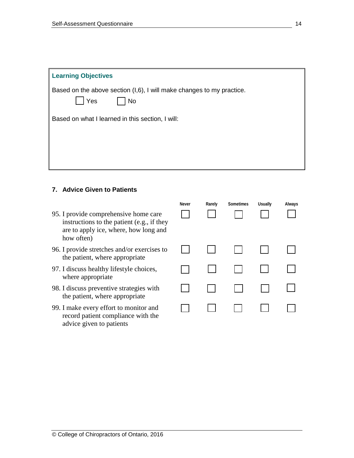| <b>Learning Objectives</b>                                                         |
|------------------------------------------------------------------------------------|
| Based on the above section (I,6), I will make changes to my practice.<br>Yes<br>No |
| Based on what I learned in this section, I will:                                   |
|                                                                                    |

## **7. Advice Given to Patients**

|                                                                                                                                            | <b>Never</b> | Rarely | <b>Sometimes</b> | <b>Usually</b> | Always |
|--------------------------------------------------------------------------------------------------------------------------------------------|--------------|--------|------------------|----------------|--------|
| 95. I provide comprehensive home care<br>instructions to the patient (e.g., if they<br>are to apply ice, where, how long and<br>how often) |              |        |                  |                |        |
| 96. I provide stretches and/or exercises to<br>the patient, where appropriate                                                              |              |        |                  |                |        |
| 97. I discuss healthy lifestyle choices,<br>where appropriate                                                                              |              |        |                  |                |        |
| 98. I discuss preventive strategies with<br>the patient, where appropriate                                                                 |              |        |                  |                |        |
| 99. I make every effort to monitor and<br>record patient compliance with the<br>advice given to patients                                   |              |        |                  |                |        |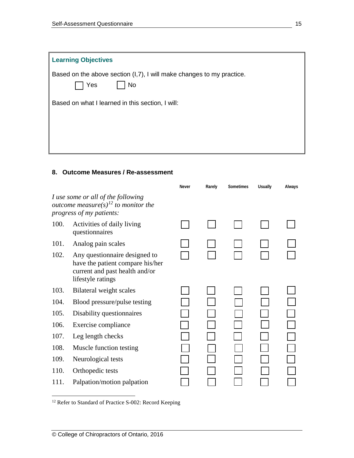| <b>Learning Objectives</b>                                                                |
|-------------------------------------------------------------------------------------------|
| Based on the above section (I,7), I will make changes to my practice.<br><b>No</b><br>Yes |
| Based on what I learned in this section, I will:                                          |
|                                                                                           |
|                                                                                           |
|                                                                                           |

## **8. Outcome Measures / Re-assessment**

|      |                                                                                                                          | <b>Never</b> | Rarely | Sometimes | <b>Usually</b> | Always |
|------|--------------------------------------------------------------------------------------------------------------------------|--------------|--------|-----------|----------------|--------|
|      | I use some or all of the following<br>outcome measure(s) <sup>12</sup> to monitor the<br>progress of my patients:        |              |        |           |                |        |
| 100. | Activities of daily living<br>questionnaires                                                                             |              |        |           |                |        |
| 101. | Analog pain scales                                                                                                       |              |        |           |                |        |
| 102. | Any questionnaire designed to<br>have the patient compare his/her<br>current and past health and/or<br>lifestyle ratings |              |        |           |                |        |
| 103. | Bilateral weight scales                                                                                                  |              |        |           |                |        |
| 104. | Blood pressure/pulse testing                                                                                             |              |        |           |                |        |
| 105. | Disability questionnaires                                                                                                |              |        |           |                |        |
| 106. | Exercise compliance                                                                                                      |              |        |           |                |        |
| 107. | Leg length checks                                                                                                        |              |        |           |                |        |
| 108. | Muscle function testing                                                                                                  |              |        |           |                |        |
| 109. | Neurological tests                                                                                                       |              |        |           |                |        |
| 110. | Orthopedic tests                                                                                                         |              |        |           |                |        |
| 111. | Palpation/motion palpation                                                                                               |              |        |           |                |        |

<span id="page-14-0"></span><sup>12</sup> Refer to Standard of Practice S-002: Record Keeping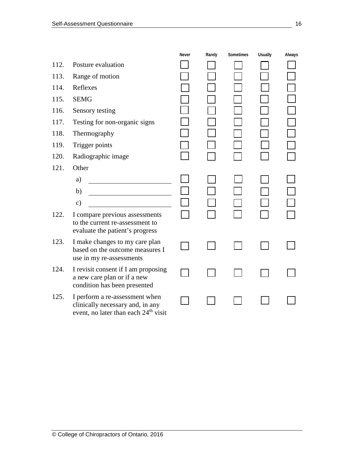|      |                                                                                                                        | <b>Never</b> | Rarely | <b>Sometimes</b> | <b>Usually</b> | Always |
|------|------------------------------------------------------------------------------------------------------------------------|--------------|--------|------------------|----------------|--------|
| 112. | Posture evaluation                                                                                                     |              |        |                  |                |        |
| 113. | Range of motion                                                                                                        |              |        |                  |                |        |
| 114. | Reflexes                                                                                                               |              |        |                  |                |        |
| 115. | <b>SEMG</b>                                                                                                            |              |        |                  |                |        |
| 116. | Sensory testing                                                                                                        |              |        |                  |                |        |
| 117. | Testing for non-organic signs                                                                                          |              |        |                  |                |        |
| 118. | Thermography                                                                                                           |              |        |                  |                |        |
| 119. | Trigger points                                                                                                         |              |        |                  |                |        |
| 120. | Radiographic image                                                                                                     |              |        |                  |                |        |
| 121. | Other                                                                                                                  |              |        |                  |                |        |
|      | a)                                                                                                                     |              |        |                  |                |        |
|      | b)                                                                                                                     |              |        |                  |                |        |
|      | $\mathbf{c})$                                                                                                          |              |        |                  |                |        |
| 122. | I compare previous assessments<br>to the current re-assessment to<br>evaluate the patient's progress                   |              |        |                  |                |        |
| 123. | I make changes to my care plan<br>based on the outcome measures I<br>use in my re-assessments                          |              |        |                  |                |        |
| 124. | I revisit consent if I am proposing<br>a new care plan or if a new<br>condition has been presented                     |              |        |                  |                |        |
| 125. | I perform a re-assessment when<br>clinically necessary and, in any<br>event, no later than each 24 <sup>th</sup> visit |              |        |                  |                |        |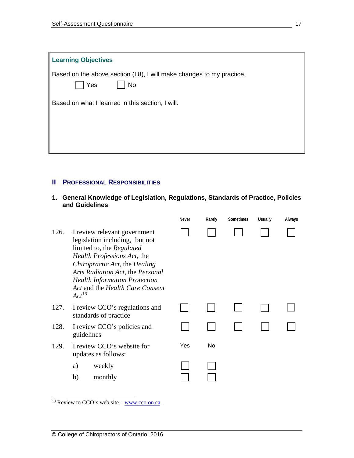| <b>Learning Objectives</b>                                                                |
|-------------------------------------------------------------------------------------------|
| Based on the above section (I,8), I will make changes to my practice.<br><b>No</b><br>Yes |
| Based on what I learned in this section, I will:                                          |
|                                                                                           |
|                                                                                           |
|                                                                                           |

## **II PROFESSIONAL RESPONSIBILITIES**

**1. General Knowledge of Legislation, Regulations, Standards of Practice, Policies and Guidelines** 

|      |                                                                                                                                                                                                                                                                                          | <b>Never</b> | Rarely | Sometimes | <b>Usually</b> | Always |
|------|------------------------------------------------------------------------------------------------------------------------------------------------------------------------------------------------------------------------------------------------------------------------------------------|--------------|--------|-----------|----------------|--------|
| 126. | I review relevant government<br>legislation including, but not<br>limited to, the Regulated<br>Health Professions Act, the<br>Chiropractic Act, the Healing<br>Arts Radiation Act, the Personal<br><b>Health Information Protection</b><br>Act and the Health Care Consent<br>$Act^{13}$ |              |        |           |                |        |
| 127. | I review CCO's regulations and<br>standards of practice                                                                                                                                                                                                                                  |              |        |           |                |        |
| 128. | I review CCO's policies and<br>guidelines                                                                                                                                                                                                                                                |              |        |           |                |        |
| 129. | I review CCO's website for<br>updates as follows:                                                                                                                                                                                                                                        | Yes          | No     |           |                |        |
|      | weekly<br>a)                                                                                                                                                                                                                                                                             |              |        |           |                |        |
|      | b)<br>monthly                                                                                                                                                                                                                                                                            |              |        |           |                |        |

<span id="page-16-0"></span> $\frac{13 \text{ Review to CCO's web site} - \text{www.cco. on.} }{13 \text{ Review to CCO's web site} - \text{www.cco. on.} }$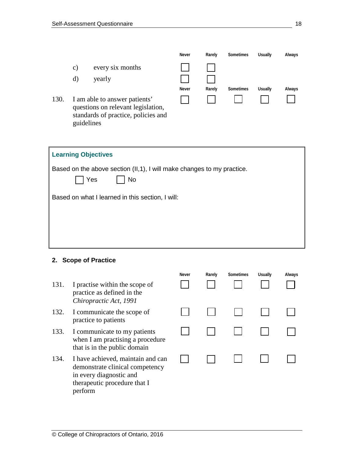|      |               |                                                                                                            | Never        | Rarely | Sometimes | <b>Usually</b> | Always |
|------|---------------|------------------------------------------------------------------------------------------------------------|--------------|--------|-----------|----------------|--------|
|      | $\mathbf{c})$ | every six months                                                                                           |              |        |           |                |        |
|      | d)            | yearly                                                                                                     |              |        |           |                |        |
|      |               |                                                                                                            | <b>Never</b> | Rarely | Sometimes | Usually        | Always |
| 130. | guidelines    | I am able to answer patients'<br>questions on relevant legislation,<br>standards of practice, policies and |              |        |           |                |        |
|      |               |                                                                                                            |              |        |           |                |        |
|      |               | <b>Learning Objectives</b>                                                                                 |              |        |           |                |        |
|      |               | Based on the above section (II,1), I will make changes to my practice.                                     |              |        |           |                |        |
|      |               | Yes<br>No                                                                                                  |              |        |           |                |        |
|      |               | Based on what I learned in this section, I will:                                                           |              |        |           |                |        |
|      |               |                                                                                                            |              |        |           |                |        |
|      |               |                                                                                                            |              |        |           |                |        |

#### **2. Scope of Practice**

- 131. I practise within the scope of practice as defined in the *Chiropractic Act, 1991*
- 132. I communicate the scope of practice to patients
- 133. I communicate to my patients when I am practising a procedure that is in the public domain
- 134. I have achieved, maintain and can demonstrate clinical competency in every diagnostic and therapeutic procedure that I perform

| Never | Rarely | Sometimes | Usually | Always |
|-------|--------|-----------|---------|--------|
|       |        |           |         |        |
|       |        |           |         |        |
|       |        |           |         |        |
|       |        |           |         |        |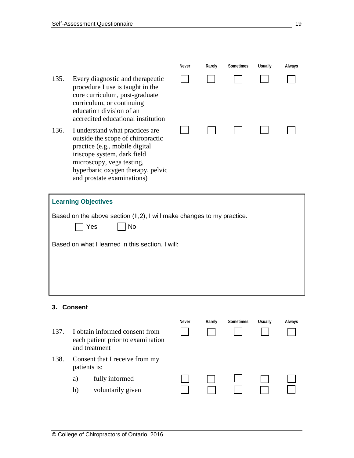- 135. Every diagnostic and therapeutic procedure I use is taught in the core curriculum, post-graduate curriculum, or continuing education division of an accredited educational institution
- 136. I understand what practices are outside the scope of chiropractic practice (e.g., mobile digital iriscope system, dark field microscopy, vega testing, hyperbaric oxygen therapy, pelvic and prostate examinations)



| <b>Learning Objectives</b>                                                                 |
|--------------------------------------------------------------------------------------------|
| Based on the above section (II,2), I will make changes to my practice.<br>Yes<br><b>No</b> |
| Based on what I learned in this section, I will:                                           |
|                                                                                            |
|                                                                                            |

## **3. Consent**

**Never Rarely Sometimes Usually Always** 137. I obtain informed consent from each patient prior to examination and treatment 138. Consent that I receive from my patients is: a) fully informed b) voluntarily given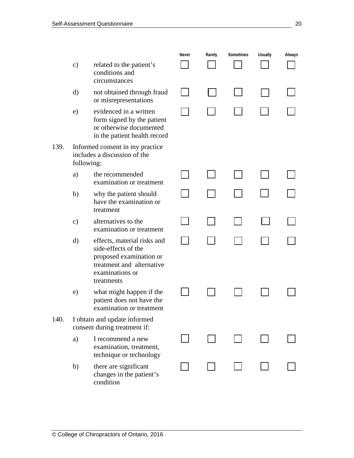**Never Rarely Sometimes Usually Always** c) related to the patient's  $\blacksquare$ conditions and circumstances d) not obtained through fraud or misrepresentations e) evidenced in a written form signed by the patient or otherwise documented in the patient health record 139. Informed consent in my practice includes a discussion of the following: a) the recommended  $\blacksquare$  $\blacksquare$ examination or treatment b) why the patient should  $\blacksquare$  $\blacksquare$ have the examination or treatment c) alternatives to the  $\blacksquare$ examination or treatment d) effects, material risks and  $\Box$  $\Box$ side-effects of the proposed examination or treatment and alternative examinations or treatments  $\overline{\phantom{a}}$ e) what might happen if the  $\blacksquare$  $\blacksquare$ patient does not have the examination or treatment 140. I obtain and update informed consent during treatment if: a) I recommend a new examination, treatment, technique or technology b) there are significant changes in the patient's condition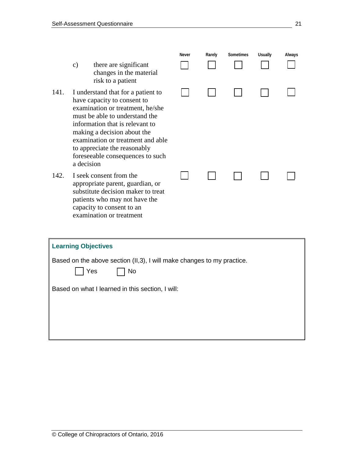- c) there are significant changes in the materia risk to a patient
- 141. I understand that for a patient have capacity to consent to examination or treatment, he/ must be able to understand the information that is relevant to making a decision about the examination or treatment and to appreciate the reasonably foreseeable consequences to a decision
- 142. I seek consent from the appropriate parent, guardian, substitute decision maker to t patients who may not have the capacity to consent to an examination or treatment

| al                       | Never | Rarely | Sometimes | Usually | Always |
|--------------------------|-------|--------|-----------|---------|--------|
| t to                     |       |        |           |         |        |
| /she<br>ιe<br>O          |       |        |           |         |        |
| d able                   |       |        |           |         |        |
| such                     |       |        |           |         |        |
| <b>or</b><br>treat<br>ιe |       |        |           |         |        |

| <b>Learning Objectives</b>                                                                 |
|--------------------------------------------------------------------------------------------|
| Based on the above section (II,3), I will make changes to my practice.<br>Yes<br><b>No</b> |
| Based on what I learned in this section, I will:                                           |
|                                                                                            |
|                                                                                            |
|                                                                                            |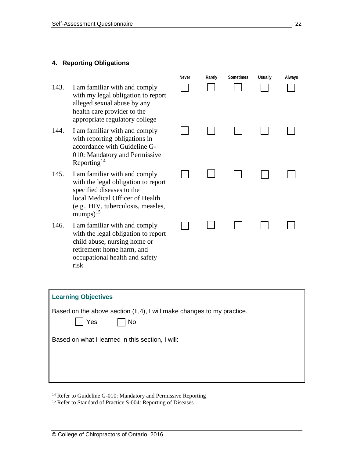#### **4. Reporting Obligations**

- 143. I am familiar with and comply with my legal obligation to report alleged sexual abuse by any health care provider to the appropriate regulatory college
- 144. I am familiar with and comply with reporting obligations in accordance with Guideline G-010: Mandatory and Permissive Reporting<sup>[14](#page-21-0)</sup>
- 145. I am familiar with and comply with the legal obligation to report specified diseases to the local Medical Officer of Health (e.g., HIV, tuberculosis, measles, mumps $)^{15}$  $)^{15}$  $)^{15}$
- 146. I am familiar with and comply with the legal obligation to report child abuse, nursing home or retirement home harm, and occupational health and safety risk

| Never | Rarely | Sometimes | Usually | Always |
|-------|--------|-----------|---------|--------|
|       |        |           |         |        |
|       |        |           |         |        |
|       |        |           |         |        |

| <b>Learning Objectives</b>                                                                  |
|---------------------------------------------------------------------------------------------|
| Based on the above section (II, 4), I will make changes to my practice.<br>Yes<br><b>No</b> |
| Based on what I learned in this section, I will:                                            |
|                                                                                             |

<span id="page-21-0"></span><sup>14</sup> Refer to Guideline G-010: Mandatory and Permissive Reporting

<span id="page-21-1"></span><sup>15</sup> Refer to Standard of Practice S-004: Reporting of Diseases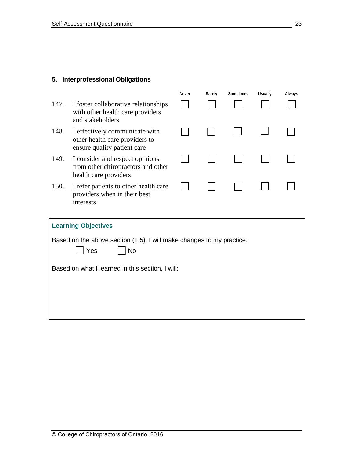## **5. Interprofessional Obligations**

|      |                                                                                                 | <b>Never</b> | Rarely | Sometimes | <b>Usually</b> | Always |
|------|-------------------------------------------------------------------------------------------------|--------------|--------|-----------|----------------|--------|
| 147. | I foster collaborative relationships<br>with other health care providers<br>and stakeholders    |              |        |           |                |        |
| 148. | I effectively communicate with<br>other health care providers to<br>ensure quality patient care |              |        |           |                |        |
| 149. | I consider and respect opinions<br>from other chiropractors and other<br>health care providers  |              |        |           |                |        |
| 150. | I refer patients to other health care<br>providers when in their best<br>interests              |              |        |           |                |        |
|      | <b>Learning Objectives</b>                                                                      |              |        |           |                |        |
|      | Based on the above section (II,5), I will make changes to my practice.<br>Yes<br><b>No</b>      |              |        |           |                |        |
|      | Based on what I learned in this section, I will:                                                |              |        |           |                |        |
|      |                                                                                                 |              |        |           |                |        |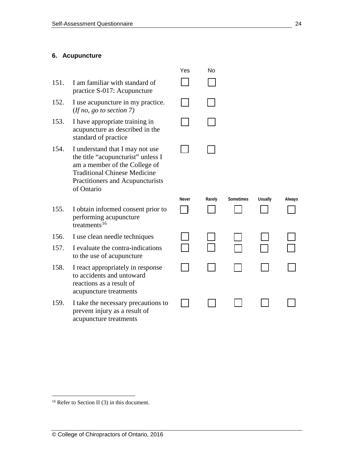#### **6. Acupuncture**

- 151. I am familiar with standard of practice S-017: Acupuncture
- 152. I use acupuncture in my practice. (*If no, go to section 7)*
- 153. I have appropriate training in acupuncture as described in the standard of practice
- 154. I understand that I may not use the title "acupuncturist" unless I am a member of the College of Traditional Chinese Medicine Practitioners and Acupuncturists of Ontario
- 155. I obtain informed consent prior to performing acupuncture  $t$ reatments<sup>[16](#page-23-0)</sup>
- 156. I use clean needle techniques
- 157. I evaluate the contra-indications to the use of acupuncture
- 158. I react appropriately in response to accidents and untoward reactions as a result of acupuncture treatments
- 159. I take the necessary precautions to prevent injury as a result of acupuncture treatments

| Yes    | No     |     |
|--------|--------|-----|
| $\Box$ | $\Box$ |     |
| $\Box$ | $\Box$ |     |
| $\Box$ | $\Box$ |     |
| $\Box$ | $\Box$ |     |
|        |        |     |
| Never  | Rarely | Som |

| Never | Rarely | Sometimes | <b>Usually</b> | Always |
|-------|--------|-----------|----------------|--------|
|       |        |           | $\sim$         |        |
|       |        |           |                |        |
|       |        |           |                |        |

<span id="page-23-0"></span><sup>&</sup>lt;sup>16</sup> Refer to Section II (3) in this document.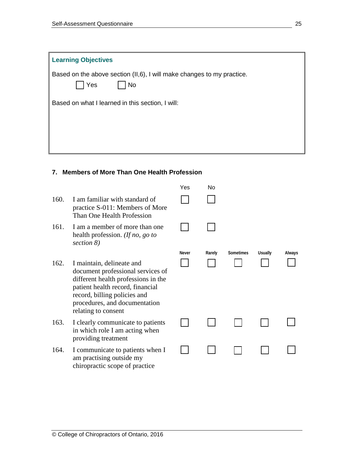| <b>Learning Objectives</b>                                                                 |
|--------------------------------------------------------------------------------------------|
| Based on the above section (II,6), I will make changes to my practice.<br>Yes<br><b>No</b> |
| Based on what I learned in this section, I will:                                           |
|                                                                                            |
|                                                                                            |

## **7. Members of More Than One Health Profession**

|      |                                                                                                                                                                                                                                   | Yes   | No     |           |                |        |
|------|-----------------------------------------------------------------------------------------------------------------------------------------------------------------------------------------------------------------------------------|-------|--------|-----------|----------------|--------|
| 160. | I am familiar with standard of<br>practice S-011: Members of More<br>Than One Health Profession                                                                                                                                   |       |        |           |                |        |
| 161. | I am a member of more than one<br>health profession. (If no, go to<br>section 8)                                                                                                                                                  |       |        |           |                |        |
|      |                                                                                                                                                                                                                                   | Never | Rarely | Sometimes | <b>Usually</b> | Always |
| 162. | I maintain, delineate and<br>document professional services of<br>different health professions in the<br>patient health record, financial<br>record, billing policies and<br>procedures, and documentation<br>relating to consent |       |        |           |                |        |
| 163. | I clearly communicate to patients<br>in which role I am acting when<br>providing treatment                                                                                                                                        |       |        |           |                |        |
| 164. | I communicate to patients when I<br>am practising outside my<br>chiropractic scope of practice                                                                                                                                    |       |        |           |                |        |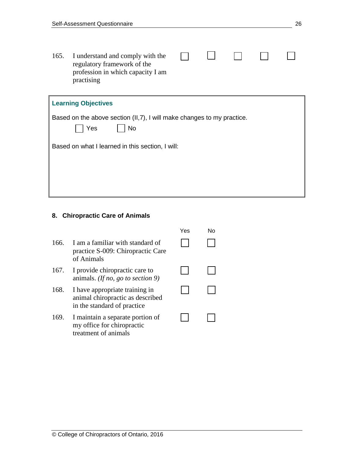$\Box$ 165. I understand and comply with the  $\Box$  $\Box$  $\Box$  $\perp$ regulatory framework of the profession in which capacity I am practising

| <b>Learning Objectives</b>                                                                  |
|---------------------------------------------------------------------------------------------|
| Based on the above section (II, 7), I will make changes to my practice.<br>Yes<br><b>No</b> |
| Based on what I learned in this section, I will:                                            |
|                                                                                             |
|                                                                                             |
|                                                                                             |

## **8. Chiropractic Care of Animals**

|      |                                                                                                   | Yes | N٥ |
|------|---------------------------------------------------------------------------------------------------|-----|----|
| 166. | I am a familiar with standard of<br>practice S-009: Chiropractic Care<br>of Animals               |     |    |
| 167. | I provide chiropractic care to<br>animals. (If no, go to section 9)                               |     |    |
| 168. | I have appropriate training in<br>animal chiropractic as described<br>in the standard of practice |     |    |
| 169. | I maintain a separate portion of<br>my office for chiropractic<br>treatment of animals            |     |    |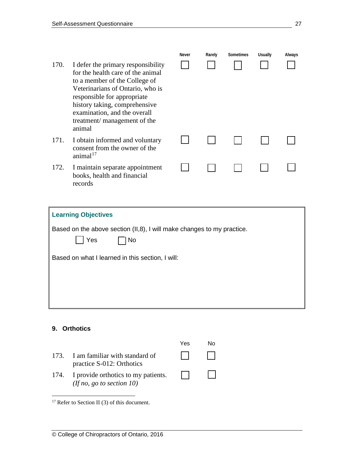- 170. I defer the primary responsibility for the health care of the animal to a member of the College of Veterinarians of Ontario, who is responsible for appropriate history taking, comprehensive examination, and the overall treatment/ management of the animal
- 171. I obtain informed and voluntary consent from the owner of the animal $17$
- 172. I maintain separate appointment books, health and financial records

| Never | Rarely | Sometimes | <b>Usually</b> | Always |
|-------|--------|-----------|----------------|--------|
|       |        |           |                |        |
|       |        |           |                |        |
|       |        |           |                |        |
|       |        |           |                |        |
|       |        |           |                |        |

| <b>Learning Objectives</b>                                                          |
|-------------------------------------------------------------------------------------|
| Based on the above section (II,8), I will make changes to my practice.<br>Yes<br>No |
| Based on what I learned in this section, I will:                                    |
|                                                                                     |
|                                                                                     |

## **9. Orthotics**

Yes No 173. I am familiar with standard of  $\Box$ practice S-012: Orthotics  $\Box$ 174. I provide orthotics to my patients.  $\Box$ *(If no, go to section 10)*

<span id="page-26-0"></span><sup>&</sup>lt;sup>17</sup> Refer to Section II (3) of this document.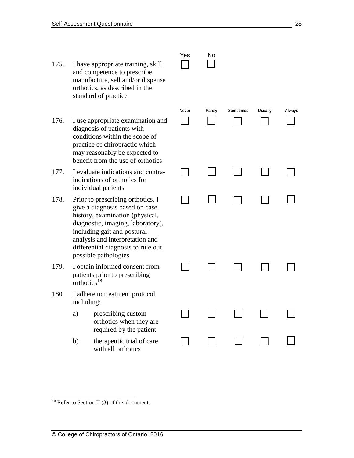- 175. I have appropriate training, skill and competence to prescribe, manufacture, sell and/or dispense orthotics, as described in the standard of practice
- 176. I use appropriate examination and diagnosis of patients with conditions within the scope of practice of chiropractic which may reasonably be expected to benefit from the use of orthotics
- 177. I evaluate indications and contraindications of orthotics for individual patients
- 178. Prior to prescribing orthotics, I give a diagnosis based on case history, examination (physical, diagnostic, imaging, laboratory), including gait and postural analysis and interpretation and differential diagnosis to rule out possible pathologies
- 179. I obtain informed consent from patients prior to prescribing  $\arctan^{18}$  $\arctan^{18}$  $\arctan^{18}$
- 180. I adhere to treatment protocol including:
	- a) prescribing custom orthotics when they are required by the patient
	- b) therapeutic trial of care with all orthotics

| Yes | No |
|-----|----|
|     |    |

| Never | Rarely | Sometimes | Usually | Always |
|-------|--------|-----------|---------|--------|
|       |        |           |         |        |
|       |        |           |         |        |
|       |        |           |         |        |
|       |        |           |         |        |
|       |        |           |         |        |
|       |        |           |         |        |

<span id="page-27-0"></span> $18$  Refer to Section II (3) of this document.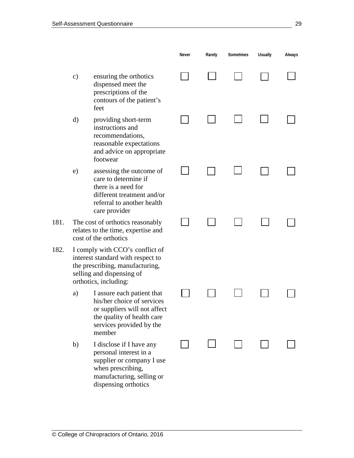**Never Rarely Sometimes Usually Always** c) ensuring the orthotics  $\sim$ dispensed meet the prescriptions of the contours of the patient's feet d) providing short-term instructions and recommendations, reasonable expectations and advice on appropriate footwear e) assessing the outcome of care to determine if there is a need for different treatment and/or referral to another health care provider 181. The cost of orthotics reasonably  $\overline{\phantom{a}}$ relates to the time, expertise and cost of the orthotics 182. I comply with CCO's conflict of interest standard with respect to the prescribing, manufacturing, selling and dispensing of orthotics, including: a) I assure each patient that  $\mathcal{L}$ his/her choice of services or suppliers will not affect the quality of health care services provided by the member b) I disclose if I have any personal interest in a supplier or company I use when prescribing, manufacturing, selling or

dispensing orthotics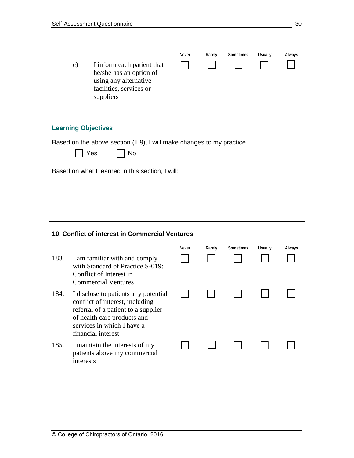**Never Rarely Sometimes Usually Always** c) I inform each patient that  $\overline{\phantom{a}}$  $\blacksquare$  $\overline{\phantom{0}}$ he/she has an option of using any alternative facilities, services or suppliers

| <b>Learning Objectives</b>                                                          |
|-------------------------------------------------------------------------------------|
| Based on the above section (II,9), I will make changes to my practice.<br>Yes<br>No |
| Based on what I learned in this section, I will:                                    |
|                                                                                     |
|                                                                                     |

## **10. Conflict of interest in Commercial Ventures**

|      |                                                                                                                                                                                                   | Never | Rarely | Sometimes | <b>Usually</b> | Always |
|------|---------------------------------------------------------------------------------------------------------------------------------------------------------------------------------------------------|-------|--------|-----------|----------------|--------|
| 183. | I am familiar with and comply<br>with Standard of Practice S-019:<br>Conflict of Interest in<br><b>Commercial Ventures</b>                                                                        |       |        |           |                |        |
| 184. | I disclose to patients any potential<br>conflict of interest, including<br>referral of a patient to a supplier<br>of health care products and<br>services in which I have a<br>financial interest |       |        |           |                |        |
| 185. | I maintain the interests of my<br>patients above my commercial<br>interests                                                                                                                       |       |        |           |                |        |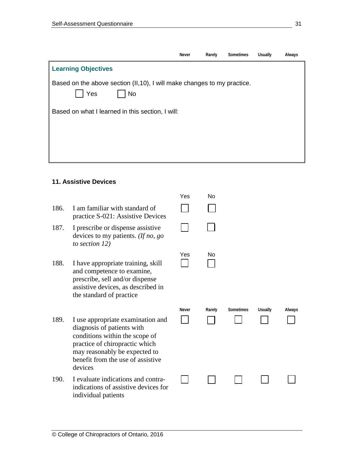|                                                                                              | Never | Rarely | Sometimes | <b>Usually</b> | Always |
|----------------------------------------------------------------------------------------------|-------|--------|-----------|----------------|--------|
| <b>Learning Objectives</b>                                                                   |       |        |           |                |        |
| Based on the above section (II, 10), I will make changes to my practice.<br>Yes<br><b>No</b> |       |        |           |                |        |
| Based on what I learned in this section, I will:                                             |       |        |           |                |        |
|                                                                                              |       |        |           |                |        |

#### **11. Assistive Devices**

- 186. I am familiar with standard of practice S-021: Assistive Devices
- 187. I prescribe or dispense assistive devices to my patients. *(If no, go to section 12)*
- 188. I have appropriate training, skill and competence to examine, prescribe, sell and/or dispense assistive devices, as described in the standard of practice
- 189. I use appropriate examination and diagnosis of patients with conditions within the scope of practice of chiropractic which may reasonably be expected to benefit from the use of assistive devices
- 190. I evaluate indications and contraindications of assistive devices for individual patients

| Yes   | No     |           |         |        |
|-------|--------|-----------|---------|--------|
|       |        |           |         |        |
| Yes   | No     |           |         |        |
| Never | Rarely | Sometimes | Usually | Always |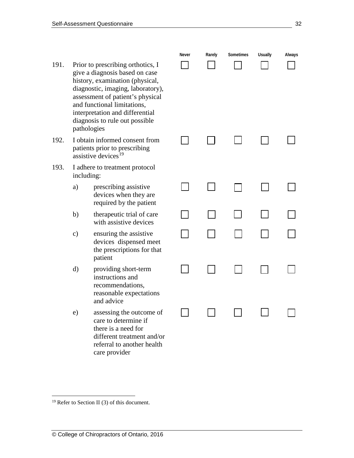- 191. Prior to prescribing orthotics, I give a diagnosis based on case history, examination (physical, diagnostic, imaging, laboratory), assessment of patient's physical and functional limitations, interpretation and differential diagnosis to rule out possible pathologies
- 192. I obtain informed consent from patients prior to prescribing assistive devices<sup>[19](#page-31-0)</sup>
- 193. I adhere to treatment protocol including:
	- a) prescribing assistive devices when they are required by the patient
	- b) therapeutic trial of care with assistive devices
	- c) ensuring the assistive devices dispensed meet the prescriptions for that patient
	- d) providing short-term instructions and recommendations, reasonable expectations and advice
	- e) assessing the outcome of care to determine if there is a need for different treatment and/or referral to another health care provider

| Never<br>$\blacksquare$ | Rarely         | Sometimes<br>$\left.\rule{0pt}{10pt}\right]$ | Usually<br>ı        | Always |
|-------------------------|----------------|----------------------------------------------|---------------------|--------|
|                         | $\Box$         | $\blacksquare$                               | $\Box$              |        |
|                         |                |                                              |                     |        |
|                         | $\blacksquare$ | $\blacksquare$                               | ┓<br>$\blacksquare$ |        |
|                         |                |                                              |                     |        |
|                         |                |                                              |                     |        |
|                         |                |                                              |                     |        |

<span id="page-31-0"></span><sup>&</sup>lt;sup>19</sup> Refer to Section II (3) of this document.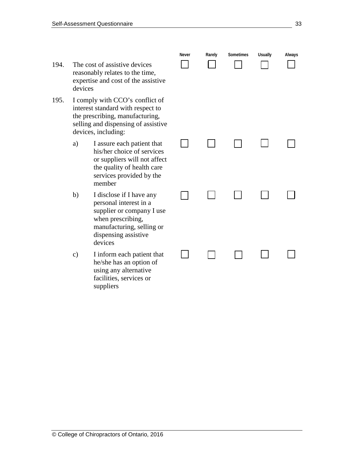- 194. The cost of assistive devices reasonably relates to the time, expertise and cost of the assisti devices
- 195. I comply with CCO's conflict interest standard with respect to the prescribing, manufacturing, selling and dispensing of assist devices, including:
	- a) I assure each patient that his/her choice of servic or suppliers will not aff the quality of health car services provided by th member
	- b) I disclose if I have any personal interest in a supplier or company I u when prescribing, manufacturing, selling dispensing assistive devices
	- $c)$  I inform each patient the he/she has an option of using any alternative facilities, services or suppliers

|                                  | Never | Rarely | Sometimes | Usually | Always |
|----------------------------------|-------|--------|-----------|---------|--------|
| ive                              |       |        |           |         |        |
| of<br>$\mathbf{O}$<br>5,<br>tive |       |        |           |         |        |
| at<br>es<br>fect<br>re<br>ιe     |       |        |           |         |        |
| ise                              |       |        |           |         |        |
| $\alpha$                         |       |        |           |         |        |
| ıat                              |       |        |           |         |        |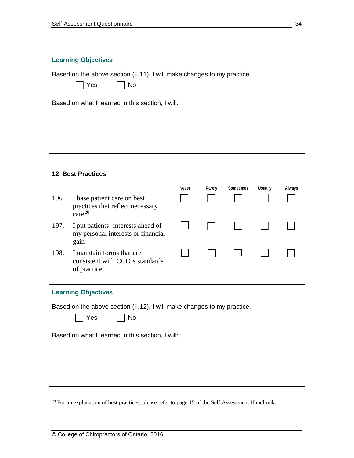| <b>Learning Objectives</b>                                                                   |
|----------------------------------------------------------------------------------------------|
| Based on the above section (II, 11), I will make changes to my practice.<br>Yes<br><b>No</b> |
| Based on what I learned in this section, I will:                                             |
|                                                                                              |
|                                                                                              |
|                                                                                              |

## **12. Best Practices**

|      |                                                                                       | <b>Never</b> | Rarely | Sometimes | <b>Usually</b> | Always |
|------|---------------------------------------------------------------------------------------|--------------|--------|-----------|----------------|--------|
| 196. | I base patient care on best<br>practices that reflect necessary<br>care <sup>20</sup> |              |        |           |                |        |
| 197. | I put patients' interests ahead of<br>my personal interests or financial<br>gain      |              |        |           |                |        |
| 198. | I maintain forms that are<br>consistent with CCO's standards<br>of practice           |              |        |           |                |        |

| <b>Learning Objectives</b>                                                             |  |  |  |  |  |  |
|----------------------------------------------------------------------------------------|--|--|--|--|--|--|
| Based on the above section (II,12), I will make changes to my practice.<br>  Yes<br>No |  |  |  |  |  |  |
| Based on what I learned in this section, I will:                                       |  |  |  |  |  |  |
|                                                                                        |  |  |  |  |  |  |

<span id="page-33-0"></span><sup>&</sup>lt;sup>20</sup> For an explanation of best practices, please refer to page 15 of the Self Assessment Handbook.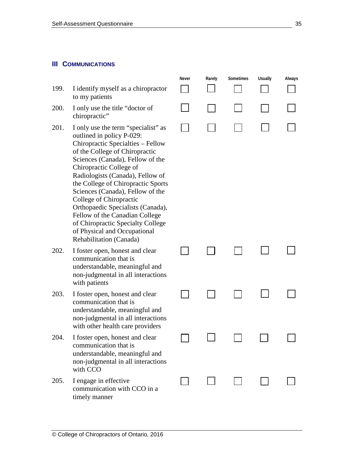#### **III COMMUNICATIONS**

- 199. I identify myself as a chiropractor to my patients
- 200. I only use the title "doctor of chiropractic"
- 201. I only use the term "specialist" as outlined in policy P-029: Chiropractic Specialties – Fellow of the College of Chiropractic Sciences (Canada), Fellow of the Chiropractic College of Radiologists (Canada), Fellow of the College of Chiropractic Sports Sciences (Canada), Fellow of the College of Chiropractic Orthopaedic Specialists (Canada), Fellow of the Canadian College of Chiropractic Specialty College of Physical and Occupational Rehabilitation (Canada)
- 202. I foster open, honest and clear communication that is understandable, meaningful and non-judgmental in all interactions with patients
- 203. I foster open, honest and clear communication that is understandable, meaningful and non-judgmental in all interactions with other health care providers
- 204. I foster open, honest and clear communication that is understandable, meaningful and non-judgmental in all interactions with CCO
- 205. I engage in effective communication with CCO in a timely manner



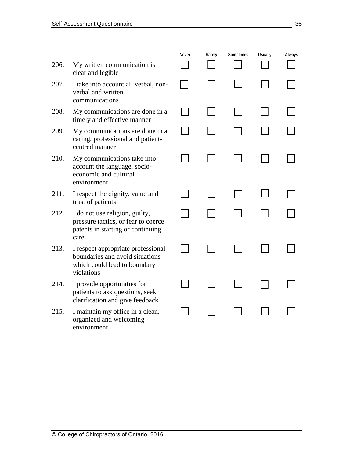|      |                                                                                                                     | Never | Rarely | Sometimes | <b>Usually</b> | Always |
|------|---------------------------------------------------------------------------------------------------------------------|-------|--------|-----------|----------------|--------|
| 206. | My written communication is<br>clear and legible                                                                    |       |        |           |                |        |
| 207. | I take into account all verbal, non-<br>verbal and written<br>communications                                        |       |        |           |                |        |
| 208. | My communications are done in a<br>timely and effective manner                                                      |       |        |           |                |        |
| 209. | My communications are done in a<br>caring, professional and patient-<br>centred manner                              |       |        |           |                |        |
| 210. | My communications take into<br>account the language, socio-<br>economic and cultural<br>environment                 |       |        |           |                |        |
| 211. | I respect the dignity, value and<br>trust of patients                                                               |       |        |           |                |        |
| 212. | I do not use religion, guilty,<br>pressure tactics, or fear to coerce<br>patents in starting or continuing<br>care  |       |        |           |                |        |
| 213. | I respect appropriate professional<br>boundaries and avoid situations<br>which could lead to boundary<br>violations |       |        |           |                |        |
| 214. | I provide opportunities for<br>patients to ask questions, seek<br>clarification and give feedback                   |       |        |           |                |        |
| 215. | I maintain my office in a clean,<br>organized and welcoming<br>environment                                          |       |        |           |                |        |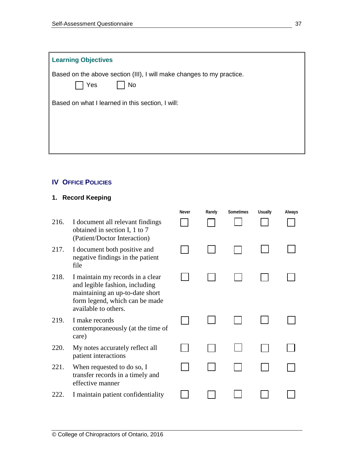| <b>Learning Objectives</b>                                                                |
|-------------------------------------------------------------------------------------------|
| Based on the above section (III), I will make changes to my practice.<br>Yes<br><b>No</b> |
| Based on what I learned in this section, I will:                                          |
|                                                                                           |
|                                                                                           |

## **IV OFFICE POLICIES**

## **1. Record Keeping**

|      |                                                                                                                                                                 | <b>Never</b> | Rarely | Sometimes | <b>Usually</b> | Always |
|------|-----------------------------------------------------------------------------------------------------------------------------------------------------------------|--------------|--------|-----------|----------------|--------|
| 216. | I document all relevant findings<br>obtained in section I, 1 to 7<br>(Patient/Doctor Interaction)                                                               |              |        |           |                |        |
| 217. | I document both positive and<br>negative findings in the patient<br>file                                                                                        |              |        |           |                |        |
| 218. | I maintain my records in a clear<br>and legible fashion, including<br>maintaining an up-to-date short<br>form legend, which can be made<br>available to others. |              |        |           |                |        |
| 219. | I make records<br>contemporaneously (at the time of<br>care)                                                                                                    |              |        |           |                |        |
| 220. | My notes accurately reflect all<br>patient interactions                                                                                                         |              |        |           |                |        |
| 221. | When requested to do so, I<br>transfer records in a timely and<br>effective manner                                                                              |              |        |           |                |        |
| 222. | I maintain patient confidentiality                                                                                                                              |              |        |           |                |        |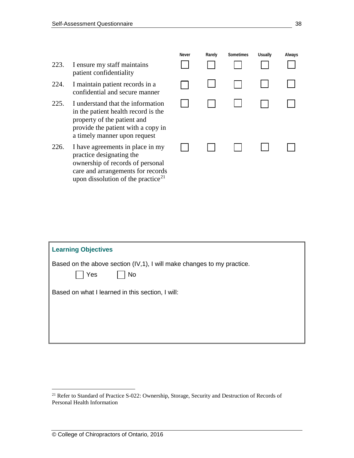- 223. I ensure my staff maintains patient confidentiality
- 224. I maintain patient records in a confidential and secure manner
- 225. I understand that the information in the patient health record is the property of the patient and provide the patient with a copy in a timely manner upon request
- 226. I have agreements in place in my practice designating the ownership of records of personal care and arrangements for records upon dissolution of the practice $^{21}$  $^{21}$  $^{21}$

| Never | Rarely | Sometimes | <b>Usually</b> | Always |
|-------|--------|-----------|----------------|--------|
|       |        |           |                |        |
|       |        |           |                |        |
|       |        |           |                |        |

| <b>Learning Objectives</b>                                                                  |  |  |  |  |  |  |
|---------------------------------------------------------------------------------------------|--|--|--|--|--|--|
| Based on the above section (IV, 1), I will make changes to my practice.<br>Yes<br><b>No</b> |  |  |  |  |  |  |
| Based on what I learned in this section, I will:                                            |  |  |  |  |  |  |
|                                                                                             |  |  |  |  |  |  |
|                                                                                             |  |  |  |  |  |  |

<span id="page-37-0"></span><sup>&</sup>lt;sup>21</sup> Refer to Standard of Practice S-022: Ownership, Storage, Security and Destruction of Records of Personal Health Information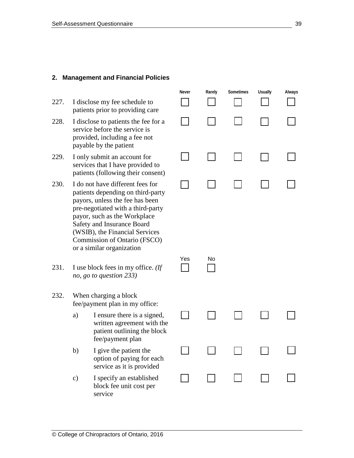#### **2. Management and Financial Policies**

- 227. I disclose my fee schedule to patients prior to providing care
- 228. I disclose to patients the fee for a service before the service is provided, including a fee not payable by the patient
- 229. I only submit an account for services that I have provided to patients (following their consent)
- 230. I do not have different fees for patients depending on third-party payors, unless the fee has been pre-negotiated with a third-party payor, such as the Workplace Safety and Insurance Board (WSIB), the Financial Services Commission of Ontario (FSCO) or a similar organization
- 231. I use block fees in my office. *(If no, go to question 233)*

## 232. When charging a block fee/payment plan in my office:

- a) I ensure there is a signed, written agreement with the patient outlining the block fee/payment plan
- b) I give the patient the option of paying for each service as it is provided
- c) I specify an established block fee unit cost per service

|               | Never    | Rarely | Sometimes    | Usually | Always |
|---------------|----------|--------|--------------|---------|--------|
|               |          |        |              |         |        |
|               |          |        | $\mathsf{I}$ |         |        |
|               |          |        |              |         |        |
|               |          |        |              |         |        |
|               | Yes<br>1 | No     |              |         |        |
| $\Rightarrow$ |          |        |              | Ξ       |        |
| i<br>S        |          |        |              |         |        |
|               |          |        |              |         |        |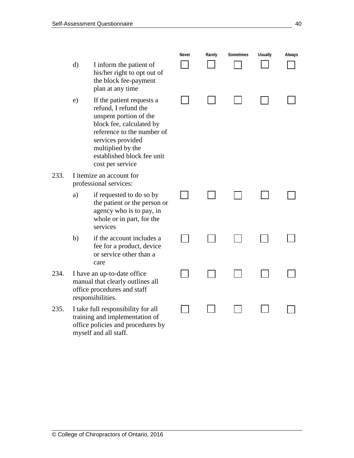$233.$ 

234.

 $235.$ 

|    |                                                                                                                                                                                                                                   | Never | Rarely | Sometimes | <b>Usually</b> | Always |
|----|-----------------------------------------------------------------------------------------------------------------------------------------------------------------------------------------------------------------------------------|-------|--------|-----------|----------------|--------|
| d) | I inform the patient of<br>his/her right to opt out of<br>the block fee-payment<br>plan at any time                                                                                                                               |       |        |           |                |        |
| e) | If the patient requests a<br>refund, I refund the<br>unspent portion of the<br>block fee, calculated by<br>reference to the number of<br>services provided<br>multiplied by the<br>established block fee unit<br>cost per service |       |        |           |                |        |
|    | I itemize an account for<br>professional services:                                                                                                                                                                                |       |        |           |                |        |
| a) | if requested to do so by<br>the patient or the person or<br>agency who is to pay, in<br>whole or in part, for the<br>services                                                                                                     |       |        |           |                |        |
| b) | if the account includes a<br>fee for a product, device<br>or service other than a<br>care                                                                                                                                         |       |        |           |                |        |
|    | I have an up-to-date office<br>manual that clearly outlines all<br>office procedures and staff<br>responsibilities.                                                                                                               |       |        |           |                |        |
|    | I take full responsibility for all<br>training and implementation of<br>office policies and procedures by<br>myself and all staff.                                                                                                |       |        |           |                |        |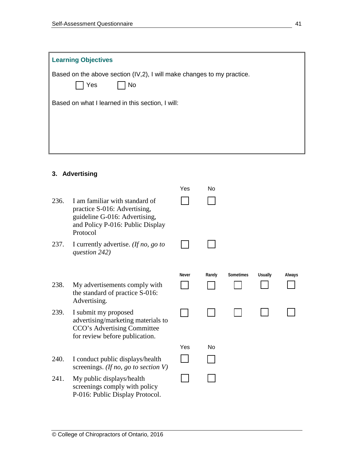| <b>Learning Objectives</b>                                                          |
|-------------------------------------------------------------------------------------|
| Based on the above section (IV,2), I will make changes to my practice.<br>Yes<br>No |
| Based on what I learned in this section, I will:                                    |
|                                                                                     |
|                                                                                     |
|                                                                                     |

## **3. Advertising**

|      |                                                                                                                                                 | Yes   | No     |                  |                |        |
|------|-------------------------------------------------------------------------------------------------------------------------------------------------|-------|--------|------------------|----------------|--------|
| 236. | I am familiar with standard of<br>practice S-016: Advertising,<br>guideline G-016: Advertising,<br>and Policy P-016: Public Display<br>Protocol |       |        |                  |                |        |
| 237. | I currently advertise. (If no, go to<br>question 242)                                                                                           |       |        |                  |                |        |
|      |                                                                                                                                                 | Never | Rarely | <b>Sometimes</b> | <b>Usually</b> | Always |
| 238. | My advertisements comply with<br>the standard of practice S-016:<br>Advertising.                                                                |       |        |                  |                |        |
| 239. | I submit my proposed<br>advertising/marketing materials to<br>CCO's Advertising Committee<br>for review before publication.                     |       |        |                  |                |        |
|      |                                                                                                                                                 | Yes   | No     |                  |                |        |
| 240. | I conduct public displays/health<br>screenings. (If no, go to section $V$ )                                                                     |       |        |                  |                |        |
| 241. | My public displays/health<br>screenings comply with policy<br>P-016: Public Display Protocol.                                                   |       |        |                  |                |        |
|      |                                                                                                                                                 |       |        |                  |                |        |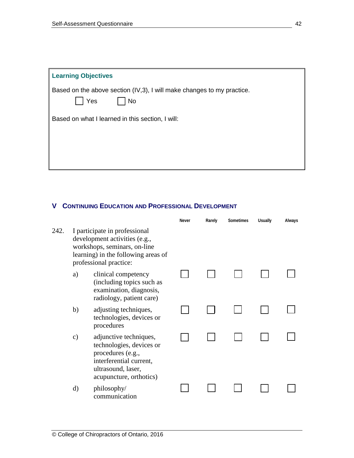| <b>Learning Objectives</b>                                                          |
|-------------------------------------------------------------------------------------|
| Based on the above section (IV,3), I will make changes to my practice.<br>Yes<br>No |
| Based on what I learned in this section, I will:                                    |
|                                                                                     |

## **V CONTINUING EDUCATION AND PROFESSIONAL DEVELOPMENT**

|      |               |                                                                                                                                                                 | Never | Rarely | <b>Sometimes</b> | <b>Usually</b> | Always |
|------|---------------|-----------------------------------------------------------------------------------------------------------------------------------------------------------------|-------|--------|------------------|----------------|--------|
| 242. |               | I participate in professional<br>development activities (e.g.,<br>workshops, seminars, on-line<br>learning) in the following areas of<br>professional practice: |       |        |                  |                |        |
|      | a)            | clinical competency<br>(including topics such as<br>examination, diagnosis,<br>radiology, patient care)                                                         |       |        |                  |                |        |
|      | b)            | adjusting techniques,<br>technologies, devices or<br>procedures                                                                                                 |       |        |                  |                |        |
|      | $\mathbf{c})$ | adjunctive techniques,<br>technologies, devices or<br>procedures (e.g.,<br>interferential current,<br>ultrasound, laser,<br>acupuncture, orthotics)             |       |        |                  |                |        |
|      | d)            | philosophy/<br>communication                                                                                                                                    |       |        |                  |                |        |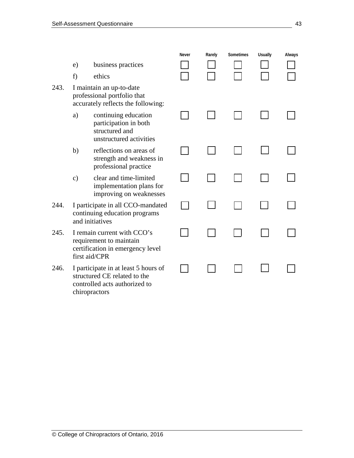|      |                                                                                                             |                                                                                                                        | Never | Rarely | Sometimes | <b>Usually</b> | Always |
|------|-------------------------------------------------------------------------------------------------------------|------------------------------------------------------------------------------------------------------------------------|-------|--------|-----------|----------------|--------|
|      | e)                                                                                                          | business practices                                                                                                     |       |        |           |                |        |
|      | f)                                                                                                          | ethics                                                                                                                 |       |        |           |                |        |
| 243. |                                                                                                             | I maintain an up-to-date<br>professional portfolio that<br>accurately reflects the following:                          |       |        |           |                |        |
|      | a)                                                                                                          | continuing education<br>participation in both<br>structured and<br>unstructured activities                             |       |        |           |                |        |
|      | b)                                                                                                          | reflections on areas of<br>strength and weakness in<br>professional practice                                           |       |        |           |                |        |
|      | $\mathbf{c})$                                                                                               | clear and time-limited<br>implementation plans for<br>improving on weaknesses                                          |       |        |           |                |        |
| 244. | I participate in all CCO-mandated<br>continuing education programs<br>and initiatives                       |                                                                                                                        |       |        |           |                |        |
| 245. | I remain current with CCO's<br>requirement to maintain<br>certification in emergency level<br>first aid/CPR |                                                                                                                        |       |        |           |                |        |
| 246. |                                                                                                             | I participate in at least 5 hours of<br>structured CE related to the<br>controlled acts authorized to<br>chiropractors |       |        |           |                |        |
|      |                                                                                                             |                                                                                                                        |       |        |           |                |        |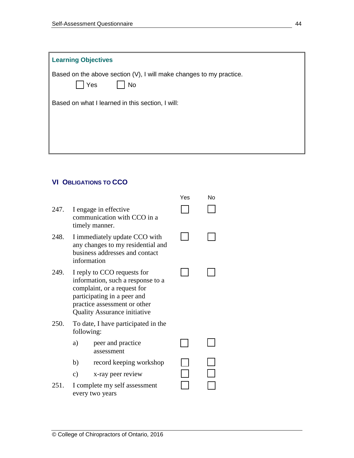| <b>Learning Objectives</b>                                                              |  |  |  |  |
|-----------------------------------------------------------------------------------------|--|--|--|--|
| Based on the above section (V), I will make changes to my practice.<br><b>No</b><br>Yes |  |  |  |  |
| Based on what I learned in this section, I will:                                        |  |  |  |  |
|                                                                                         |  |  |  |  |
|                                                                                         |  |  |  |  |
|                                                                                         |  |  |  |  |

## **VI OBLIGATIONS TO CCO**

|      |               |                                                                                                                                                                                                       | Yes | Nο |
|------|---------------|-------------------------------------------------------------------------------------------------------------------------------------------------------------------------------------------------------|-----|----|
| 247. |               | I engage in effective<br>communication with CCO in a<br>timely manner.                                                                                                                                |     |    |
| 248. |               | I immediately update CCO with<br>any changes to my residential and<br>business addresses and contact<br>information                                                                                   |     |    |
| 249. |               | I reply to CCO requests for<br>information, such a response to a<br>complaint, or a request for<br>participating in a peer and<br>practice assessment or other<br><b>Quality Assurance initiative</b> |     |    |
| 250. |               | To date, I have participated in the<br>following:                                                                                                                                                     |     |    |
|      | a)            | peer and practice<br>assessment                                                                                                                                                                       |     |    |
|      | b)            | record keeping workshop                                                                                                                                                                               |     |    |
|      | $\mathbf{c})$ | x-ray peer review                                                                                                                                                                                     |     |    |
| 251. |               | I complete my self assessment<br>every two years                                                                                                                                                      |     |    |